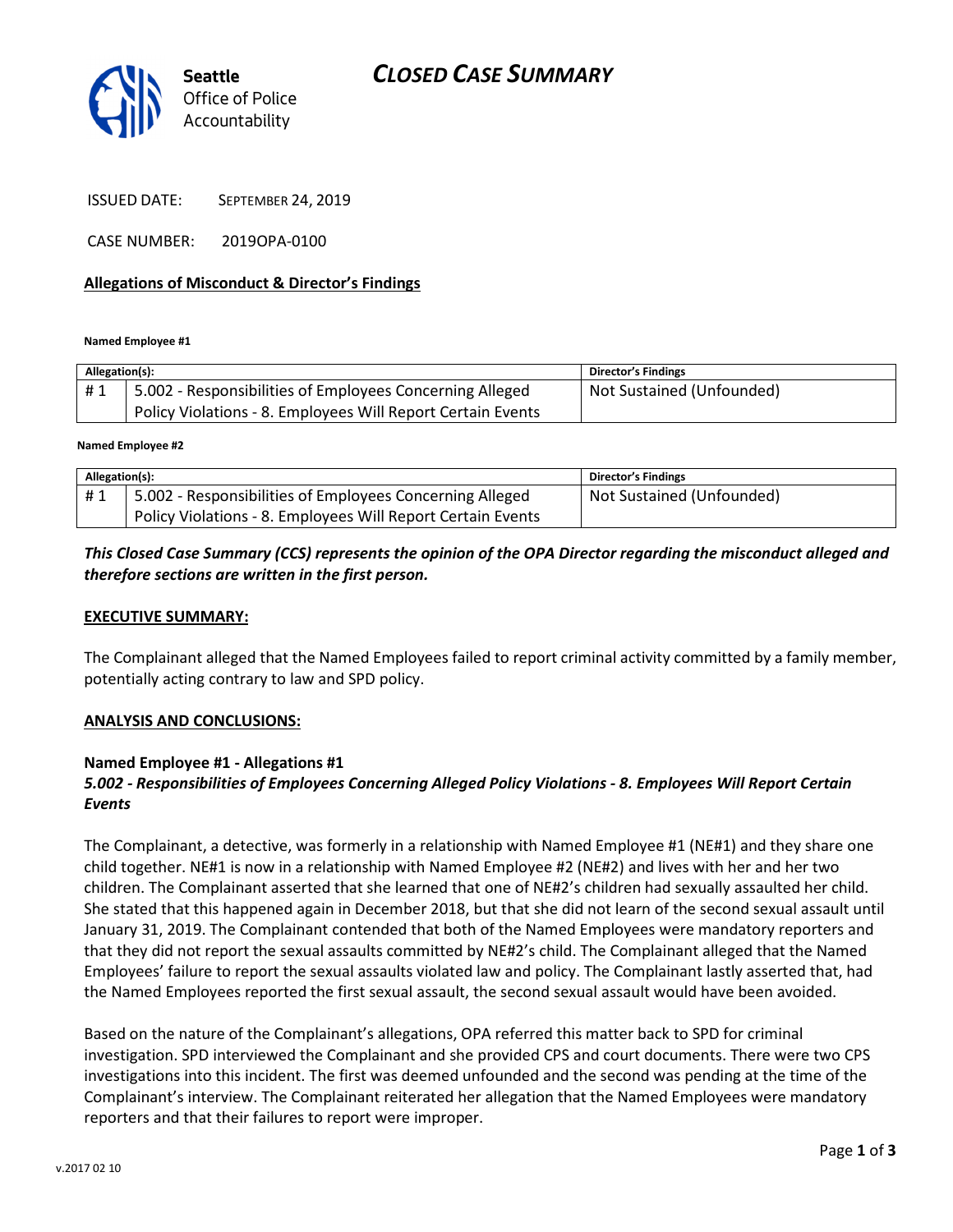

ISSUED DATE: SEPTEMBER 24, 2019

CASE NUMBER: 2019OPA-0100

#### Allegations of Misconduct & Director's Findings

Named Employee #1

| Allegation(s): |                                                             | <b>Director's Findings</b> |
|----------------|-------------------------------------------------------------|----------------------------|
| #1             | 5.002 - Responsibilities of Employees Concerning Alleged    | Not Sustained (Unfounded)  |
|                | Policy Violations - 8. Employees Will Report Certain Events |                            |
|                |                                                             |                            |

Named Employee #2

| Allegation(s): |                                                             | <b>Director's Findings</b> |
|----------------|-------------------------------------------------------------|----------------------------|
| #1             | 5.002 - Responsibilities of Employees Concerning Alleged    | Not Sustained (Unfounded)  |
|                | Policy Violations - 8. Employees Will Report Certain Events |                            |

## This Closed Case Summary (CCS) represents the opinion of the OPA Director regarding the misconduct alleged and therefore sections are written in the first person.

#### EXECUTIVE SUMMARY:

The Complainant alleged that the Named Employees failed to report criminal activity committed by a family member, potentially acting contrary to law and SPD policy.

#### ANALYSIS AND CONCLUSIONS:

#### Named Employee #1 - Allegations #1

## 5.002 - Responsibilities of Employees Concerning Alleged Policy Violations - 8. Employees Will Report Certain Events

The Complainant, a detective, was formerly in a relationship with Named Employee #1 (NE#1) and they share one child together. NE#1 is now in a relationship with Named Employee #2 (NE#2) and lives with her and her two children. The Complainant asserted that she learned that one of NE#2's children had sexually assaulted her child. She stated that this happened again in December 2018, but that she did not learn of the second sexual assault until January 31, 2019. The Complainant contended that both of the Named Employees were mandatory reporters and that they did not report the sexual assaults committed by NE#2's child. The Complainant alleged that the Named Employees' failure to report the sexual assaults violated law and policy. The Complainant lastly asserted that, had the Named Employees reported the first sexual assault, the second sexual assault would have been avoided.

Based on the nature of the Complainant's allegations, OPA referred this matter back to SPD for criminal investigation. SPD interviewed the Complainant and she provided CPS and court documents. There were two CPS investigations into this incident. The first was deemed unfounded and the second was pending at the time of the Complainant's interview. The Complainant reiterated her allegation that the Named Employees were mandatory reporters and that their failures to report were improper.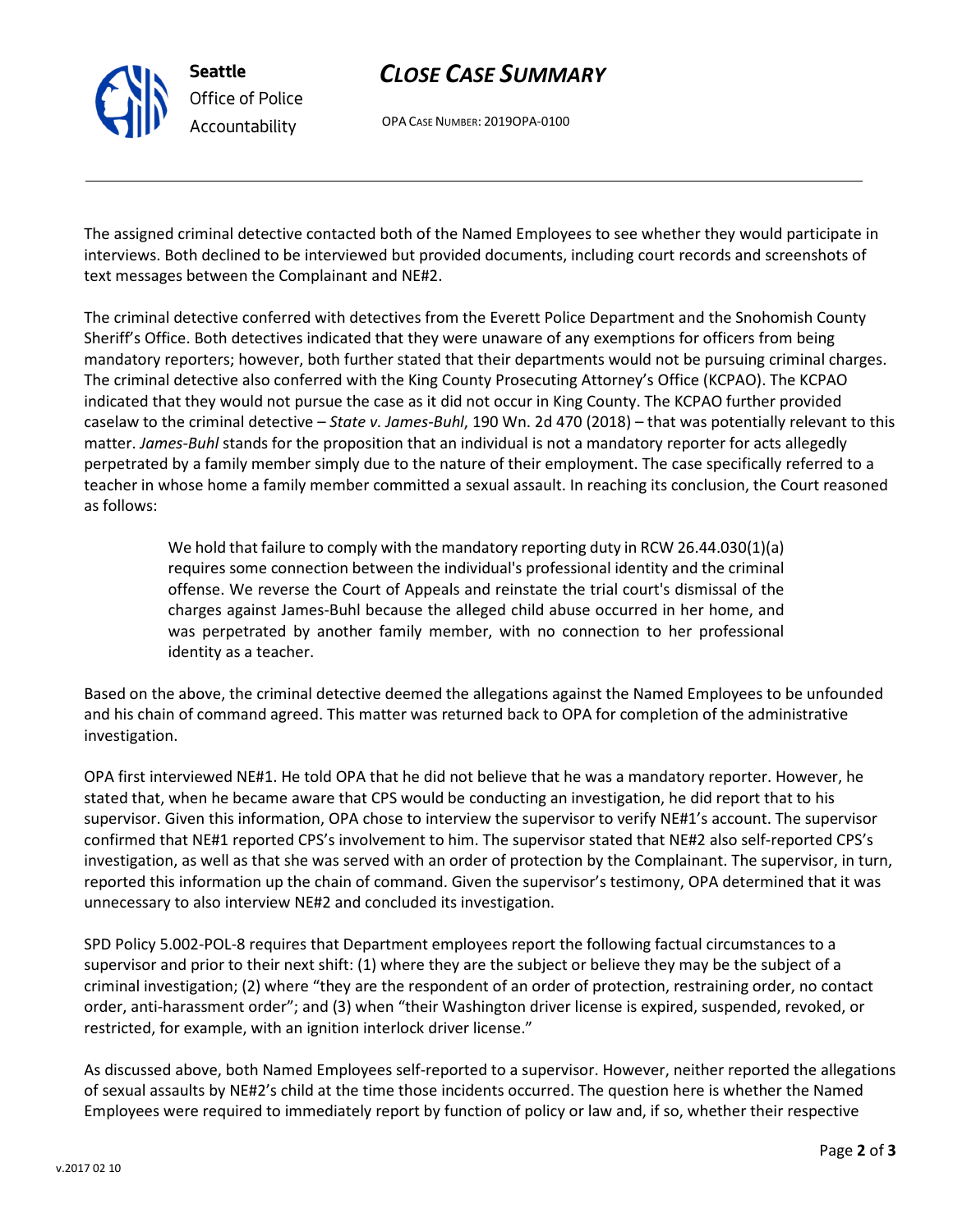## CLOSE CASE SUMMARY

OPA CASE NUMBER: 2019OPA-0100

The assigned criminal detective contacted both of the Named Employees to see whether they would participate in interviews. Both declined to be interviewed but provided documents, including court records and screenshots of text messages between the Complainant and NE#2.

The criminal detective conferred with detectives from the Everett Police Department and the Snohomish County Sheriff's Office. Both detectives indicated that they were unaware of any exemptions for officers from being mandatory reporters; however, both further stated that their departments would not be pursuing criminal charges. The criminal detective also conferred with the King County Prosecuting Attorney's Office (KCPAO). The KCPAO indicated that they would not pursue the case as it did not occur in King County. The KCPAO further provided caselaw to the criminal detective – *State v. James-Buhl*, 190 Wn. 2d 470 (2018) – that was potentially relevant to this matter. James-Buhl stands for the proposition that an individual is not a mandatory reporter for acts allegedly perpetrated by a family member simply due to the nature of their employment. The case specifically referred to a teacher in whose home a family member committed a sexual assault. In reaching its conclusion, the Court reasoned as follows:

> We hold that failure to comply with the mandatory reporting duty in RCW 26.44.030(1)(a) requires some connection between the individual's professional identity and the criminal offense. We reverse the Court of Appeals and reinstate the trial court's dismissal of the charges against James-Buhl because the alleged child abuse occurred in her home, and was perpetrated by another family member, with no connection to her professional identity as a teacher.

Based on the above, the criminal detective deemed the allegations against the Named Employees to be unfounded and his chain of command agreed. This matter was returned back to OPA for completion of the administrative investigation.

OPA first interviewed NE#1. He told OPA that he did not believe that he was a mandatory reporter. However, he stated that, when he became aware that CPS would be conducting an investigation, he did report that to his supervisor. Given this information, OPA chose to interview the supervisor to verify NE#1's account. The supervisor confirmed that NE#1 reported CPS's involvement to him. The supervisor stated that NE#2 also self-reported CPS's investigation, as well as that she was served with an order of protection by the Complainant. The supervisor, in turn, reported this information up the chain of command. Given the supervisor's testimony, OPA determined that it was unnecessary to also interview NE#2 and concluded its investigation.

SPD Policy 5.002-POL-8 requires that Department employees report the following factual circumstances to a supervisor and prior to their next shift: (1) where they are the subject or believe they may be the subject of a criminal investigation; (2) where "they are the respondent of an order of protection, restraining order, no contact order, anti-harassment order"; and (3) when "their Washington driver license is expired, suspended, revoked, or restricted, for example, with an ignition interlock driver license."

As discussed above, both Named Employees self-reported to a supervisor. However, neither reported the allegations of sexual assaults by NE#2's child at the time those incidents occurred. The question here is whether the Named Employees were required to immediately report by function of policy or law and, if so, whether their respective



Seattle

Office of Police Accountability